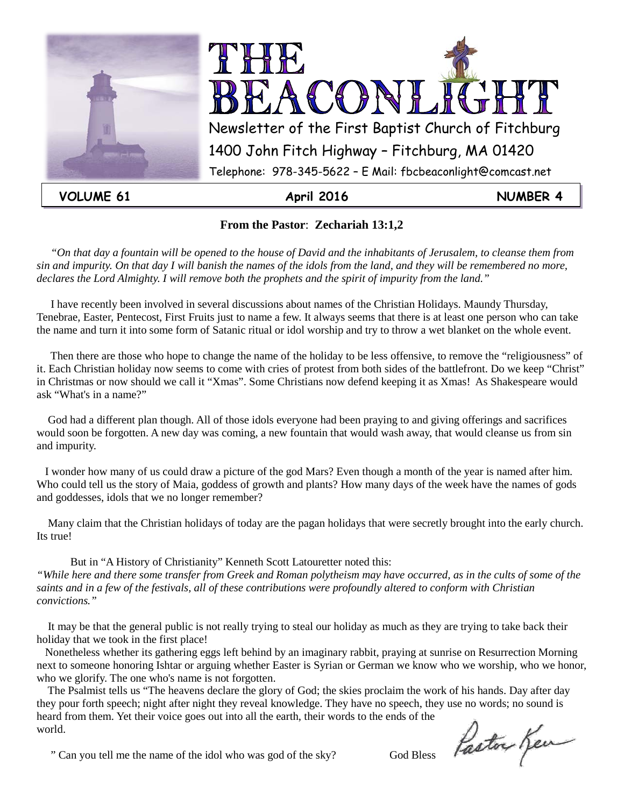



**VOLUME 61 April 2016 NUMBER 4**

#### **From the Pastor**: **Zechariah 13:1,2**

 *"On that day a fountain will be opened to the house of David and the inhabitants of Jerusalem, to cleanse them from sin and impurity. On that day I will banish the names of the idols from the land, and they will be remembered no more, declares the Lord Almighty. I will remove both the prophets and the spirit of impurity from the land."*

I have recently been involved in several discussions about names of the Christian Holidays. Maundy Thursday, Tenebrae, Easter, Pentecost, First Fruits just to name a few. It always seems that there is at least one person who can take the name and turn it into some form of Satanic ritual or idol worship and try to throw a wet blanket on the whole event.

 Then there are those who hope to change the name of the holiday to be less offensive, to remove the "religiousness" of it. Each Christian holiday now seems to come with cries of protest from both sides of the battlefront. Do we keep "Christ" in Christmas or now should we call it "Xmas". Some Christians now defend keeping it as Xmas! As Shakespeare would ask "What's in a name?"

 God had a different plan though. All of those idols everyone had been praying to and giving offerings and sacrifices would soon be forgotten. A new day was coming, a new fountain that would wash away, that would cleanse us from sin and impurity.

 I wonder how many of us could draw a picture of the god Mars? Even though a month of the year is named after him. Who could tell us the story of Maia, goddess of growth and plants? How many days of the week have the names of gods and goddesses, idols that we no longer remember?

 Many claim that the Christian holidays of today are the pagan holidays that were secretly brought into the early church. Its true!

But in "A History of Christianity" Kenneth Scott Latouretter noted this:

*"While here and there some transfer from Greek and Roman polytheism may have occurred, as in the cults of some of the saints and in a few of the festivals, all of these contributions were profoundly altered to conform with Christian convictions."*

It may be that the general public is not really trying to steal our holiday as much as they are trying to take back their holiday that we took in the first place!

 Nonetheless whether its gathering eggs left behind by an imaginary rabbit, praying at sunrise on Resurrection Morning next to someone honoring Ishtar or arguing whether Easter is Syrian or German we know who we worship, who we honor, who we glorify. The one who's name is not forgotten.

 The Psalmist tells us "The heavens declare the glory of God; the skies proclaim the work of his hands. Day after day they pour forth speech; night after night they reveal knowledge. They have no speech, they use no words; no sound is heard from them. Yet their voice goes out into all the earth, their words to the ends of the world.

" Can you tell me the name of the idol who was god of the sky? God Bless

Paston Ken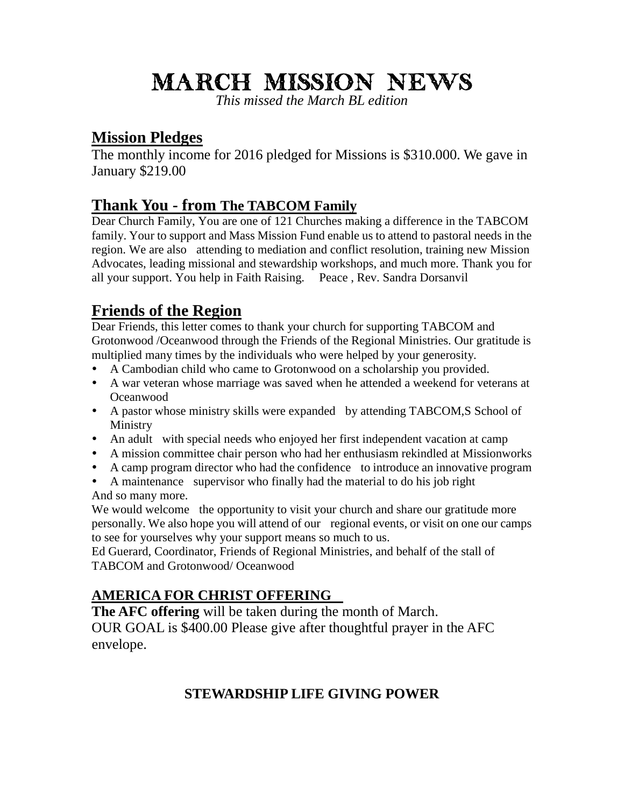### MARCH MISSION News

*This missed the March BL edition*

### **Mission Pledges**

The monthly income for 2016 pledged for Missions is \$310.000. We gave in January \$219.00

### **Thank You - from The TABCOM Family**

Dear Church Family, You are one of 121 Churches making a difference in the TABCOM family. Your to support and Mass Mission Fund enable us to attend to pastoral needs in the region. We are also attending to mediation and conflict resolution, training new Mission Advocates, leading missional and stewardship workshops, and much more. Thank you for all your support. You help in Faith Raising. Peace , Rev. Sandra Dorsanvil

### **Friends of the Region**

Dear Friends, this letter comes to thank your church for supporting TABCOM and Grotonwood /Oceanwood through the Friends of the Regional Ministries. Our gratitude is multiplied many times by the individuals who were helped by your generosity.

- A Cambodian child who came to Grotonwood on a scholarship you provided.
- A war veteran whose marriage was saved when he attended a weekend for veterans at Oceanwood
- A pastor whose ministry skills were expanded by attending TABCOM,S School of Ministry
- An adult with special needs who enjoyed her first independent vacation at camp
- A mission committee chair person who had her enthusiasm rekindled at Missionworks
- A camp program director who had the confidence to introduce an innovative program
- A maintenance supervisor who finally had the material to do his job right And so many more.

We would welcome the opportunity to visit your church and share our gratitude more personally. We also hope you will attend of our regional events, or visit on one our camps to see for yourselves why your support means so much to us.

Ed Guerard, Coordinator, Friends of Regional Ministries, and behalf of the stall of TABCOM and Grotonwood/ Oceanwood

#### **AMERICA FOR CHRIST OFFERING**

**The AFC offering** will be taken during the month of March. OUR GOAL is \$400.00 Please give after thoughtful prayer in the AFC envelope.

### **STEWARDSHIP LIFE GIVING POWER**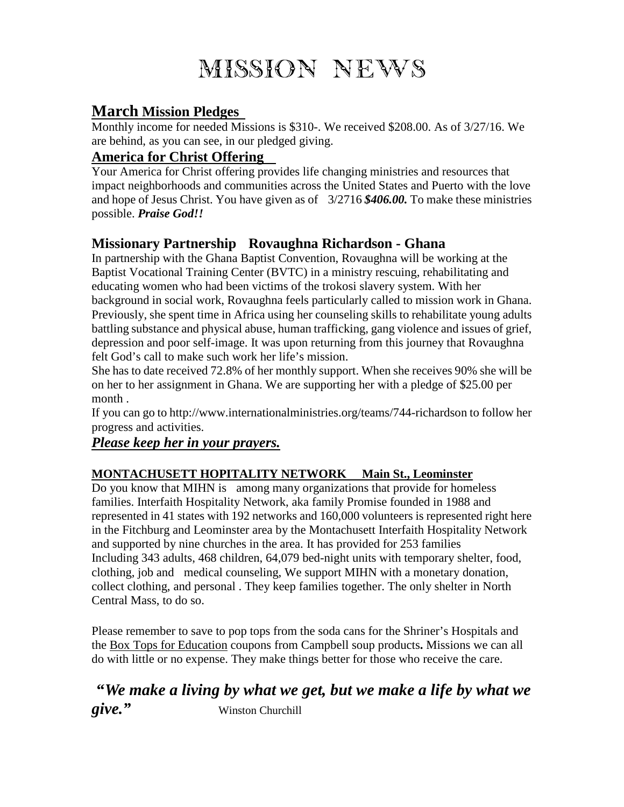### MISSION NEWS

#### **March Mission Pledges**

Monthly income for needed Missions is \$310-. We received \$208.00. As of 3/27/16. We are behind, as you can see, in our pledged giving.

#### **America for Christ Offering**

Your America for Christ offering provides life changing ministries and resources that impact neighborhoods and communities across the United States and Puerto with the love and hope of Jesus Christ. You have given as of 3/2716 *\$406.00.* To make these ministries possible. *Praise God!!*

#### **Missionary Partnership Rovaughna Richardson - Ghana**

In partnership with the Ghana Baptist Convention, Rovaughna will be working at the Baptist Vocational Training Center (BVTC) in a ministry rescuing, rehabilitating and educating women who had been victims of the trokosi slavery system. With her background in social work, Rovaughna feels particularly called to mission work in Ghana. Previously, she spent time in Africa using her counseling skills to rehabilitate young adults battling substance and physical abuse, human trafficking, gang violence and issues of grief, depression and poor self-image. It was upon returning from this journey that Rovaughna felt God's call to make such work her life's mission.

She has to date received 72.8% of her monthly support. When she receives 90% she will be on her to her assignment in Ghana. We are supporting her with a pledge of \$25.00 per month .

If you can go to http://www.internationalministries.org/teams/744-richardson to follow her progress and activities.

#### *Please keep her in your prayers.*

#### **MONTACHUSETT HOPITALITY NETWORK Main St., Leominster**

Do you know that MIHN is among many organizations that provide for homeless families. Interfaith Hospitality Network, aka family Promise founded in 1988 and represented in 41 states with 192 networks and 160,000 volunteers is represented right here in the Fitchburg and Leominster area by the Montachusett Interfaith Hospitality Network and supported by nine churches in the area. It has provided for 253 families Including 343 adults, 468 children, 64,079 bed-night units with temporary shelter, food, clothing, job and medical counseling, We support MIHN with a monetary donation, collect clothing, and personal . They keep families together. The only shelter in North Central Mass, to do so.

Please remember to save to pop tops from the soda cans for the Shriner's Hospitals and the Box Tops for Education coupons from Campbell soup products**.** Missions we can all do with little or no expense. They make things better for those who receive the care.

**"***We make a living by what we get, but we make a life by what we give."* Winston Churchill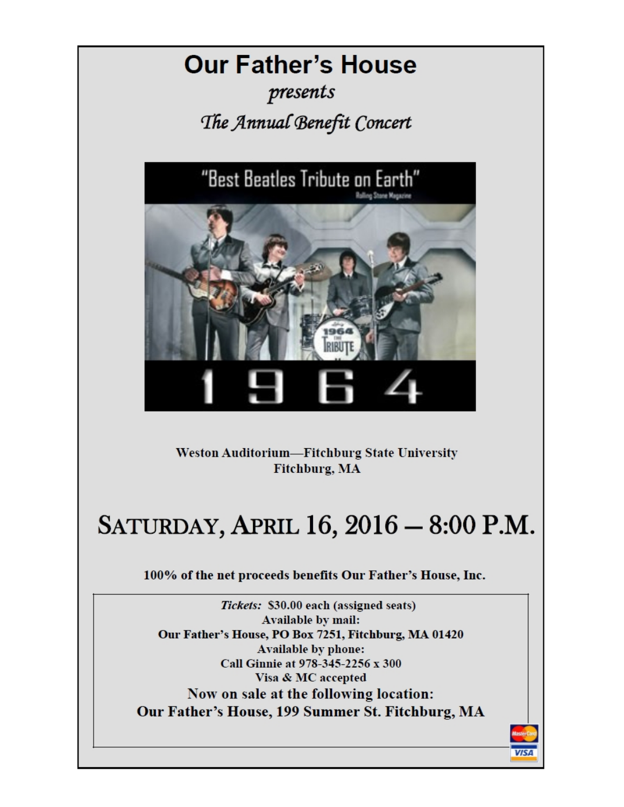### **Our Father's House** presents The Annual Benefit Concert



Weston Auditorium-Fitchburg State University Fitchburg, MA

### SATURDAY, APRIL 16, 2016 - 8:00 P.M.

100% of the net proceeds benefits Our Father's House, Inc.

Tickets: \$30.00 each (assigned seats) Available by mail: Our Father's House, PO Box 7251, Fitchburg, MA 01420 **Available by phone:** Call Ginnie at 978-345-2256 x 300 Visa & MC accepted Now on sale at the following location: Our Father's House, 199 Summer St. Fitchburg, MA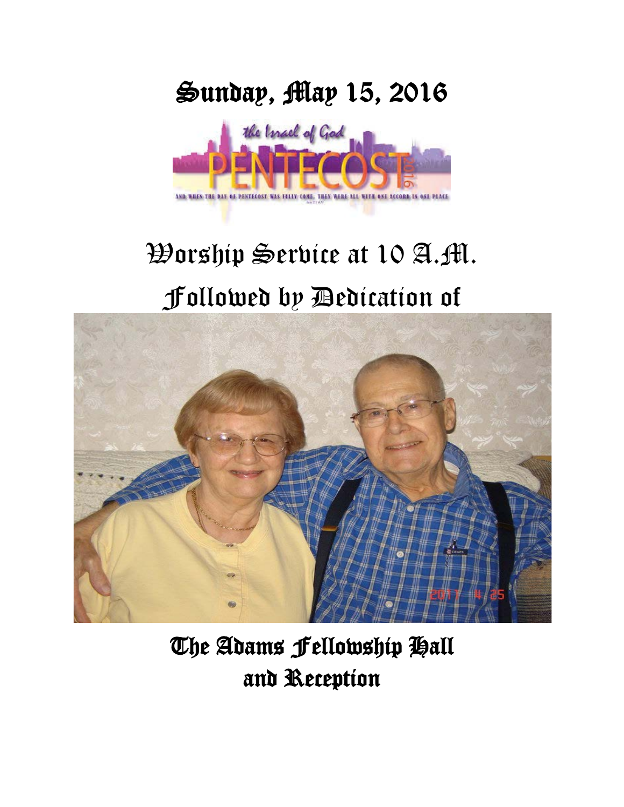### Sunday, May 15, 2016



# Worship Service at 10 A.M. Followed by Dedication of



The Adams Fellowship Hall and Reception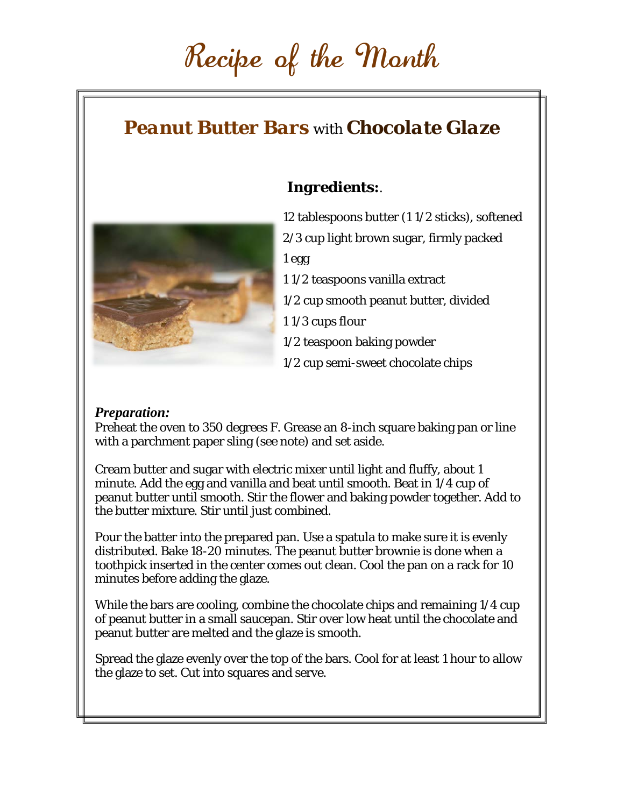## Recipe of the Month

### *Peanut Butter Bars with Chocolate Glaze*



*Ingredients:*.

12 tablespoons butter (1 1/2 sticks), softened 2/3 cup light brown sugar, firmly packed 1 egg

1 1/2 teaspoons vanilla extract

1/2 cup smooth peanut butter, divided

1 1/3 cups flour

1/2 teaspoon baking powder

1/2 cup semi-sweet chocolate chips

#### *Preparation:*

Preheat the oven to 350 degrees F. Grease an 8-inch square baking pan or line with a parchment paper sling (see note) and set aside.

Cream butter and sugar with electric mixer until light and fluffy, about 1 minute. Add the egg and vanilla and beat until smooth. Beat in 1/4 cup of peanut butter until smooth. Stir the flower and baking powder together. Add to the butter mixture. Stir until just combined.

Pour the batter into the prepared pan. Use a spatula to make sure it is evenly distributed. Bake 18-20 minutes. The peanut butter brownie is done when a toothpick inserted in the center comes out clean. Cool the pan on a rack for 10 minutes before adding the glaze.

While the bars are cooling, combine the chocolate chips and remaining 1/4 cup of peanut butter in a small saucepan. Stir over low heat until the chocolate and peanut butter are melted and the glaze is smooth.

Spread the glaze evenly over the top of the bars. Cool for at least 1 hour to allow the glaze to set. Cut into squares and serve.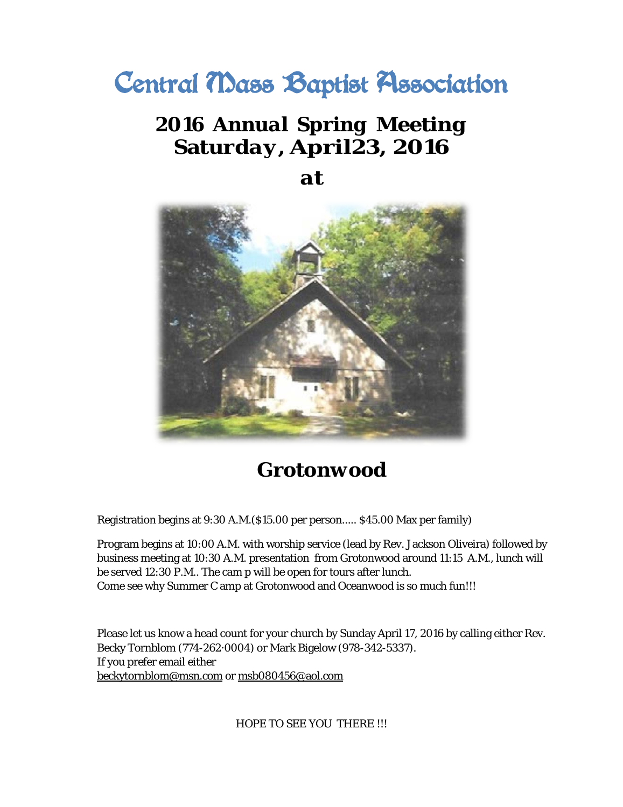### Central Mass Baptist Association

### *2016 Annual Spring Meeting Saturday, April23, 2016*

*at*



### *Grotonwood*

Registration begins at 9:30 A.M.(\$15.00 per person..... \$45.00 Max per family)

Program begins at 10:00 A.M. with worship service (lead by Rev. Jackson Oliveira) followed by business meeting at 10:30 A.M. presentation from Grotonwood around 11:15 A.M., lunch will be served 12:30 P.M.. The cam p will be open for tours after lunch. Come see why Summer C amp at Grotonwood and Oceanwood is so much fun!!!

Please let us know a head count for your church by Sunday April 17, 2016 by calling either Rev. Becky Tornblom (774-262·0004) or Mark Bigelow (978-342-5337). If you prefer email either beckytornblom@msn.com or msb080456@aol.com

HOPE TO SEE YOU THERE !!!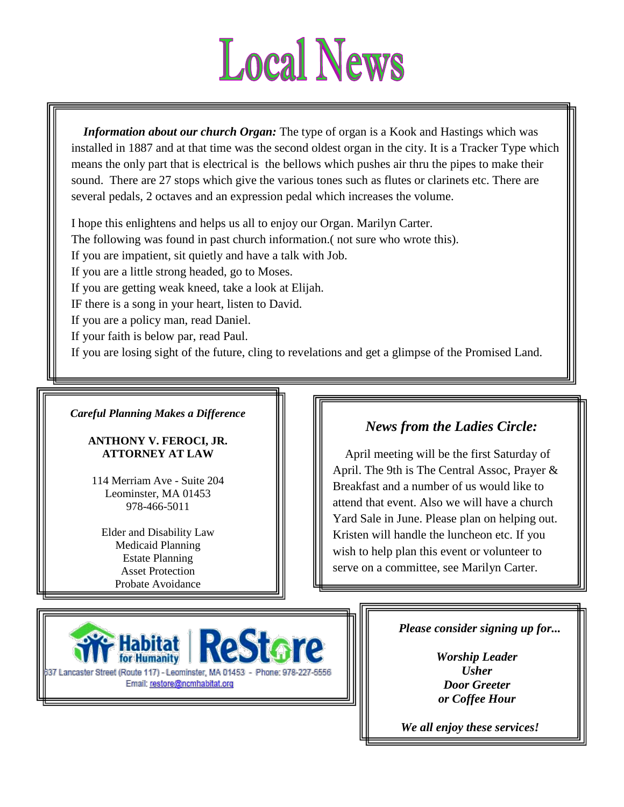# **Local News**

 *Information about our church Organ:* The type of organ is a Kook and Hastings which was installed in 1887 and at that time was the second oldest organ in the city. It is a Tracker Type which means the only part that is electrical is the bellows which pushes air thru the pipes to make their sound. There are 27 stops which give the various tones such as flutes or clarinets etc. There are several pedals, 2 octaves and an expression pedal which increases the volume.

I hope this enlightens and helps us all to enjoy our Organ. Marilyn Carter.

The following was found in past church information.( not sure who wrote this).

If you are impatient, sit quietly and have a talk with Job.

If you are a little strong headed, go to Moses.

If you are getting weak kneed, take a look at Elijah.

IF there is a song in your heart, listen to David.

If you are a policy man, read Daniel.

If your faith is below par, read Paul.

If you are losing sight of the future, cling to revelations and get a glimpse of the Promised Land.

벽 J.

*Careful Planning Makes a Difference*

**ANTHONY V. FEROCI, JR. ATTORNEY AT LAW**

114 Merriam Ave - Suite 204 Leominster, MA 01453 978-466-5011

Elder and Disability Law Medicaid Planning Estate Planning Asset Protection Probate Avoidance

#### *News from the Ladies Circle:*

 April meeting will be the first Saturday of April. The 9th is The Central Assoc, Prayer & Breakfast and a number of us would like to attend that event. Also we will have a church Yard Sale in June. Please plan on helping out. Kristen will handle the luncheon etc. If you wish to help plan this event or volunteer to serve on a committee, see Marilyn Carter.



*Please consider signing up for...*

*Worship Leader Usher Door Greeter or Coffee Hour*

*We all enjoy these services!*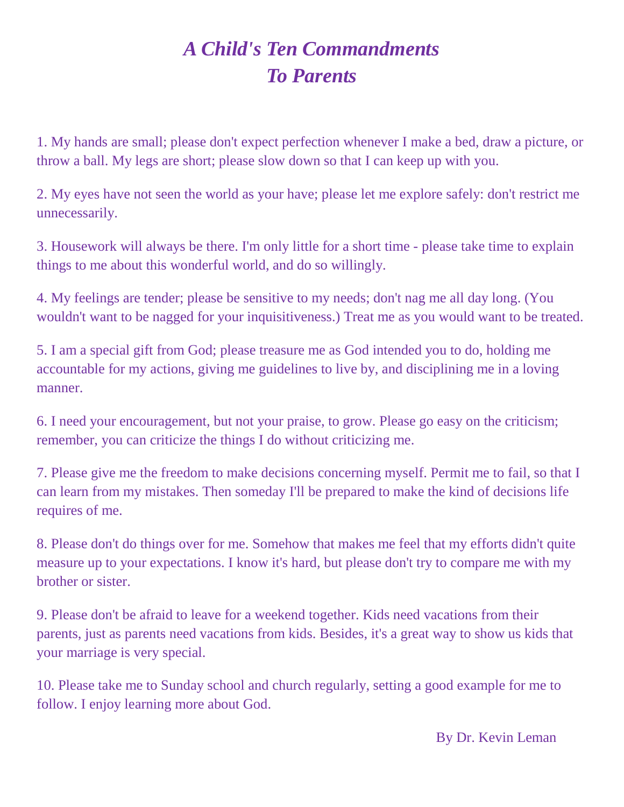### *A Child's Ten Commandments To Parents*

1. My hands are small; please don't expect perfection whenever I make a bed, draw a picture, or throw a ball. My legs are short; please slow down so that I can keep up with you.

2. My eyes have not seen the world as your have; please let me explore safely: don't restrict me unnecessarily.

3. Housework will always be there. I'm only little for a short time - please take time to explain things to me about this wonderful world, and do so willingly.

4. My feelings are tender; please be sensitive to my needs; don't nag me all day long. (You wouldn't want to be nagged for your inquisitiveness.) Treat me as you would want to be treated.

5. I am a special gift from God; please treasure me as God intended you to do, holding me accountable for my actions, giving me guidelines to live by, and disciplining me in a loving manner.

6. I need your encouragement, but not your praise, to grow. Please go easy on the criticism; remember, you can criticize the things I do without criticizing me.

7. Please give me the freedom to make decisions concerning myself. Permit me to fail, so that I can learn from my mistakes. Then someday I'll be prepared to make the kind of decisions life requires of me.

8. Please don't do things over for me. Somehow that makes me feel that my efforts didn't quite measure up to your expectations. I know it's hard, but please don't try to compare me with my brother or sister.

9. Please don't be afraid to leave for a weekend together. Kids need vacations from their parents, just as parents need vacations from kids. Besides, it's a great way to show us kids that your marriage is very special.

10. Please take me to Sunday school and church regularly, setting a good example for me to follow. I enjoy learning more about God.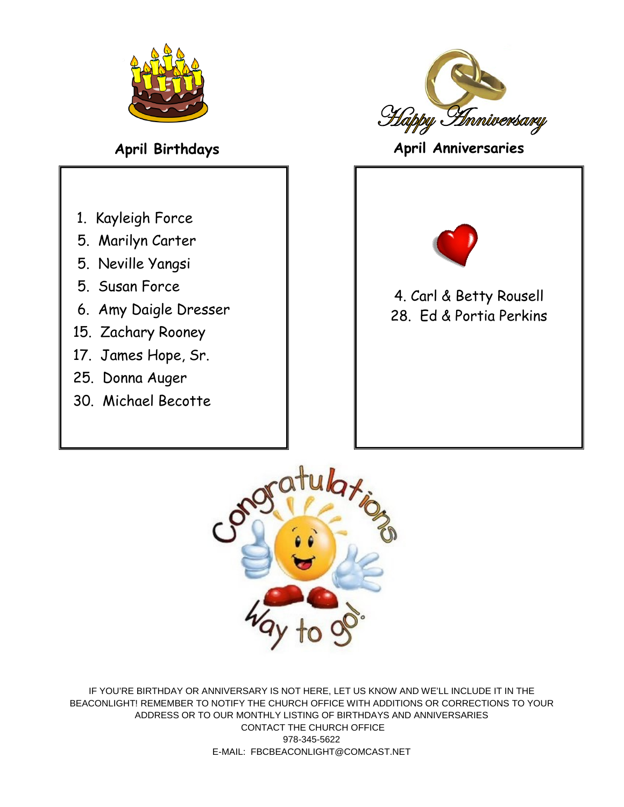

- 1. Kayleigh Force
- 5. Marilyn Carter
- 5. Neville Yangsi
- 5. Susan Force
- 6. Amy Daigle Dresser
- 15. Zachary Rooney
- 17. James Hope, Sr.
- 25. Donna Auger
- 30. Michael Becotte



**April Birthdays April Anniversaries**



### 4. Carl & Betty Rousell 28. Ed & Portia Perkins



IF YOU'RE BIRTHDAY OR ANNIVERSARY IS NOT HERE, LET US KNOW AND WE'LL INCLUDE IT IN THE BEACONLIGHT! REMEMBER TO NOTIFY THE CHURCH OFFICE WITH ADDITIONS OR CORRECTIONS TO YOUR ADDRESS OR TO OUR MONTHLY LISTING OF BIRTHDAYS AND ANNIVERSARIES CONTACT THE CHURCH OFFICE 978-345-5622 E-MAIL: FBCBEACONLIGHT@COMCAST.NET